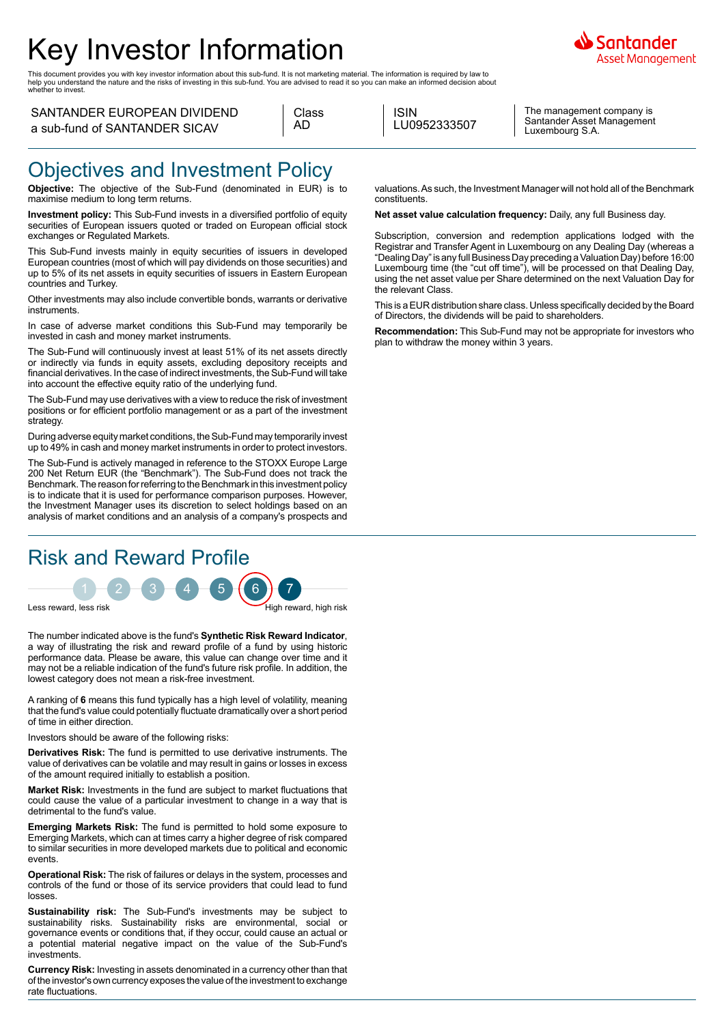# Key Investor Information

This document provides you with key investor information about this sub-fund. It is not marketing material. The information is required by law to<br>help you understand the nature and the risks of investing in this sub-fund.

#### SANTANDER EUROPEAN DIVIDEND a sub-fund of SANTANDER SICAV

| Class |
|-------|
| ו ו ב |

ISIN LU0952333507

The management company is Santander Asset Management Luxembourg S.A.

iantander Asset Management

#### Objectives and Investment Policy

**Objective:** The objective of the Sub-Fund (denominated in EUR) is to maximise medium to long term returns.

**Investment policy:** This Sub-Fund invests in a diversified portfolio of equity securities of European issuers quoted or traded on European official stock exchanges or Regulated Markets.

This Sub-Fund invests mainly in equity securities of issuers in developed European countries (most of which will pay dividends on those securities) and up to 5% of its net assets in equity securities of issuers in Eastern European countries and Turkey.

Other investments may also include convertible bonds, warrants or derivative instruments.

In case of adverse market conditions this Sub-Fund may temporarily be invested in cash and money market instruments.

The Sub-Fund will continuously invest at least 51% of its net assets directly or indirectly via funds in equity assets, excluding depository receipts and financial derivatives. In the case of indirect investments, the Sub-Fund will take into account the effective equity ratio of the underlying fund.

The Sub-Fund may use derivatives with a view to reduce the risk of investment positions or for efficient portfolio management or as a part of the investment strategy

During adverse equity market conditions, the Sub-Fund may temporarily invest up to 49% in cash and money market instruments in order to protect investors.

The Sub-Fund is actively managed in reference to the STOXX Europe Large 200 Net Return EUR (the "Benchmark"). The Sub-Fund does not track the Benchmark. The reason for referring to the Benchmark in this investment policy is to indicate that it is used for performance comparison purposes. However, the Investment Manager uses its discretion to select holdings based on an analysis of market conditions and an analysis of a company's prospects and

# Risk and Reward Profile



The number indicated above is the fund's **Synthetic Risk Reward Indicator**, a way of illustrating the risk and reward profile of a fund by using historic performance data. Please be aware, this value can change over time and it may not be a reliable indication of the fund's future risk profile. In addition, the lowest category does not mean a risk-free investment.

A ranking of **6** means this fund typically has a high level of volatility, meaning that the fund's value could potentially fluctuate dramatically over a short period of time in either direction.

Investors should be aware of the following risks:

**Derivatives Risk:** The fund is permitted to use derivative instruments. The value of derivatives can be volatile and may result in gains or losses in excess of the amount required initially to establish a position.

**Market Risk:** Investments in the fund are subject to market fluctuations that could cause the value of a particular investment to change in a way that is detrimental to the fund's value.

**Emerging Markets Risk:** The fund is permitted to hold some exposure to Emerging Markets, which can at times carry a higher degree of risk compared to similar securities in more developed markets due to political and economic events.

**Operational Risk:** The risk of failures or delays in the system, processes and controls of the fund or those of its service providers that could lead to fund losses.

**Sustainability risk:** The Sub-Fund's investments may be subject to sustainability risks. Sustainability risks are environmental, social or governance events or conditions that, if they occur, could cause an actual or a potential material negative impact on the value of the Sub-Fund's investments.

**Currency Risk:** Investing in assets denominated in a currency other than that of the investor's own currency exposes the value of the investment to exchange rate fluctuations.

valuations. As such, the Investment Manager will not hold all of the Benchmark constituents.

**Net asset value calculation frequency:** Daily, any full Business day.

Subscription, conversion and redemption applications lodged with the Registrar and Transfer Agent in Luxembourg on any Dealing Day (whereas a "Dealing Day" is any full Business Day preceding a Valuation Day) before 16:00 Luxembourg time (the "cut off time"), will be processed on that Dealing Day, using the net asset value per Share determined on the next Valuation Day for the relevant Class.

This is a EUR distribution share class. Unless specifically decided by the Board of Directors, the dividends will be paid to shareholders.

**Recommendation:** This Sub-Fund may not be appropriate for investors who plan to withdraw the money within 3 years.